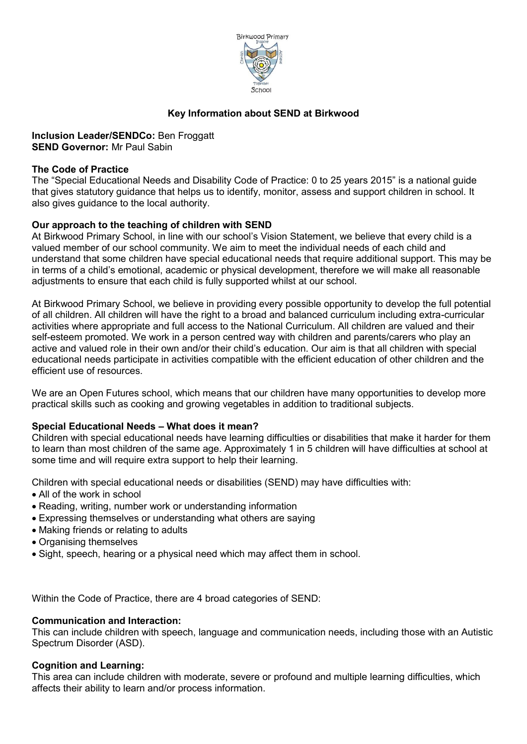

## **Key Information about SEND at Birkwood**

**Inclusion Leader/SENDCo:** Ben Froggatt **SEND Governor:** Mr Paul Sabin

#### **The Code of Practice**

The "Special Educational Needs and Disability Code of Practice: 0 to 25 years 2015" is a national guide that gives statutory guidance that helps us to identify, monitor, assess and support children in school. It also gives guidance to the local authority.

## **Our approach to the teaching of children with SEND**

At Birkwood Primary School, in line with our school's Vision Statement, we believe that every child is a valued member of our school community. We aim to meet the individual needs of each child and understand that some children have special educational needs that require additional support. This may be in terms of a child's emotional, academic or physical development, therefore we will make all reasonable adjustments to ensure that each child is fully supported whilst at our school.

At Birkwood Primary School, we believe in providing every possible opportunity to develop the full potential of all children. All children will have the right to a broad and balanced curriculum including extra-curricular activities where appropriate and full access to the National Curriculum. All children are valued and their self-esteem promoted. We work in a person centred way with children and parents/carers who play an active and valued role in their own and/or their child's education. Our aim is that all children with special educational needs participate in activities compatible with the efficient education of other children and the efficient use of resources.

We are an Open Futures school, which means that our children have many opportunities to develop more practical skills such as cooking and growing vegetables in addition to traditional subjects.

## **Special Educational Needs – What does it mean?**

Children with special educational needs have learning difficulties or disabilities that make it harder for them to learn than most children of the same age. Approximately 1 in 5 children will have difficulties at school at some time and will require extra support to help their learning.

Children with special educational needs or disabilities (SEND) may have difficulties with:

- All of the work in school
- Reading, writing, number work or understanding information
- Expressing themselves or understanding what others are saying
- Making friends or relating to adults
- Organising themselves
- Sight, speech, hearing or a physical need which may affect them in school.

Within the Code of Practice, there are 4 broad categories of SEND:

#### **Communication and Interaction:**

This can include children with speech, language and communication needs, including those with an Autistic Spectrum Disorder (ASD).

#### **Cognition and Learning:**

This area can include children with moderate, severe or profound and multiple learning difficulties, which affects their ability to learn and/or process information.